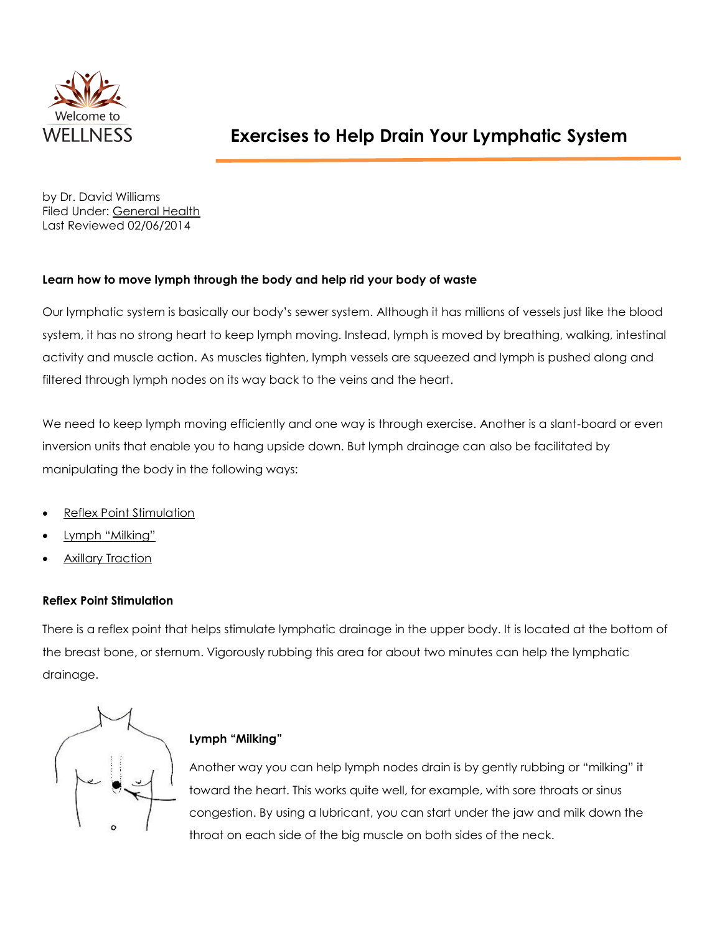

by Dr. David Williams Filed Under: [General Health](http://www.drdavidwilliams.com/general-health/) Last Reviewed 02/06/2014

## **Learn how to move lymph through the body and help rid your body of waste**

Our lymphatic system is basically our body's sewer system. Although it has millions of vessels just like the blood system, it has no strong heart to keep lymph moving. Instead, lymph is moved by breathing, walking, intestinal activity and muscle action. As muscles tighten, lymph vessels are squeezed and lymph is pushed along and filtered through lymph nodes on its way back to the veins and the heart.

We need to keep lymph moving efficiently and one way is through exercise. Another is a slant-board or even inversion units that enable you to hang upside down. But lymph drainage can also be facilitated by manipulating the body in the following ways:

- [Reflex Point Stimulation](http://www.drdavidwilliams.com/lymphatic-system-drainage-exercises/#reflex_point_stimulation)
- [Lymph "Milking"](http://www.drdavidwilliams.com/lymphatic-system-drainage-exercises/#lymph_milking)
- [Axillary Traction](http://www.drdavidwilliams.com/lymphatic-system-drainage-exercises/#axillary_traction)

## **Reflex Point Stimulation**

There is a reflex point that helps stimulate lymphatic drainage in the upper body. It is located at the bottom of the breast bone, or sternum. Vigorously rubbing this area for about two minutes can help the lymphatic drainage.



## **Lymph "Milking"**

Another way you can help lymph nodes drain is by gently rubbing or "milking" it toward the heart. This works quite well, for example, with sore throats or sinus congestion. By using a lubricant, you can start under the jaw and milk down the throat on each side of the big muscle on both sides of the neck.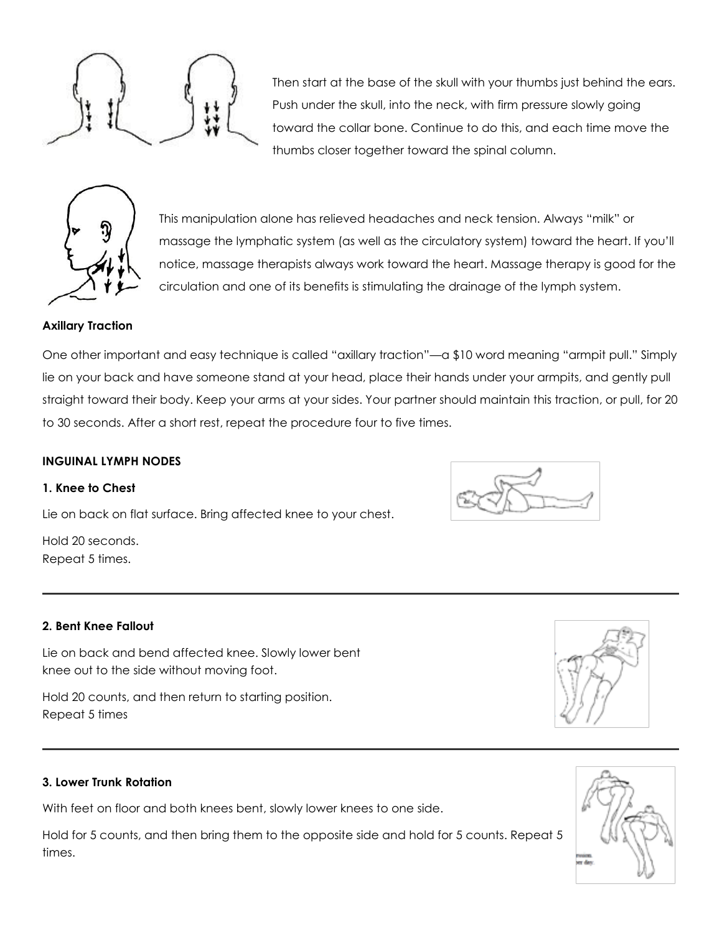Then start at the base of the skull with your thumbs just behind the ears. Push under the skull, into the neck, with firm pressure slowly going toward the collar bone. Continue to do this, and each time move the thumbs closer together toward the spinal column.



This manipulation alone has relieved headaches and neck tension. Always "milk" or massage the lymphatic system (as well as the circulatory system) toward the heart. If you'll notice, massage therapists always work toward the heart. Massage therapy is good for the circulation and one of its benefits is stimulating the drainage of the lymph system.

### **Axillary Traction**

One other important and easy technique is called "axillary traction"—a \$10 word meaning "armpit pull." Simply lie on your back and have someone stand at your head, place their hands under your armpits, and gently pull straight toward their body. Keep your arms at your sides. Your partner should maintain this traction, or pull, for 20 to 30 seconds. After a short rest, repeat the procedure four to five times.

#### **INGUINAL LYMPH NODES**

#### **1. Knee to Chest**

Lie on back on flat surface. Bring affected knee to your chest.

Hold 20 seconds. Repeat 5 times.

#### **2. Bent Knee Fallout**

Lie on back and bend affected knee. Slowly lower bent knee out to the side without moving foot.

Hold 20 counts, and then return to starting position. Repeat 5 times

#### **3. Lower Trunk Rotation**

With feet on floor and both knees bent, slowly lower knees to one side.

Hold for 5 counts, and then bring them to the opposite side and hold for 5 counts. Repeat 5 times.